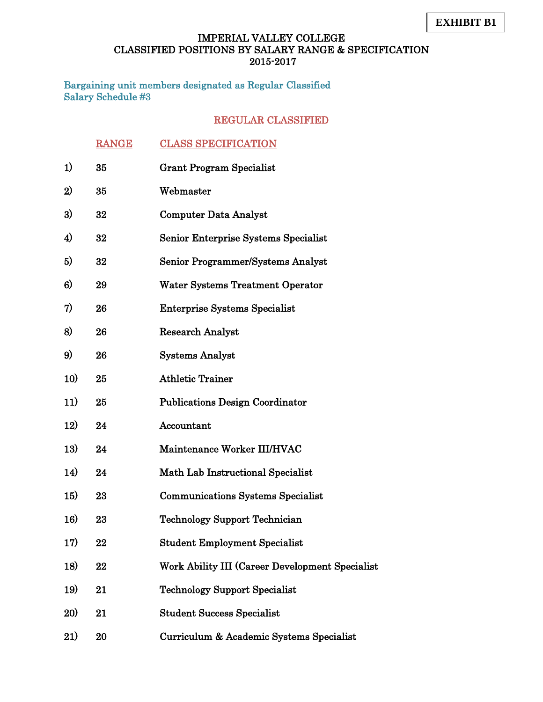Bargaining unit members designated as Regular Classified Salary Schedule #3

|            | <b>RANGE</b> | <b>CLASS SPECIFICATION</b>                      |
|------------|--------------|-------------------------------------------------|
| 1)         | 35           | <b>Grant Program Specialist</b>                 |
| 2)         | 35           | Webmaster                                       |
| 3)         | 32           | <b>Computer Data Analyst</b>                    |
| 4)         | 32           | Senior Enterprise Systems Specialist            |
| 5)         | 32           | Senior Programmer/Systems Analyst               |
| 6)         | 29           | <b>Water Systems Treatment Operator</b>         |
| 7)         | 26           | <b>Enterprise Systems Specialist</b>            |
| 8)         | 26           | <b>Research Analyst</b>                         |
| 9)         | 26           | <b>Systems Analyst</b>                          |
| 10)        | 25           | <b>Athletic Trainer</b>                         |
| 11)        | 25           | <b>Publications Design Coordinator</b>          |
| 12)        | 24           | Accountant                                      |
| 13)        | 24           | Maintenance Worker III/HVAC                     |
| 14)        | 24           | Math Lab Instructional Specialist               |
| <b>15)</b> | 23           | <b>Communications Systems Specialist</b>        |
| 16)        | 23           | <b>Technology Support Technician</b>            |
| 17)        | 22           | <b>Student Employment Specialist</b>            |
| 18)        | 22           | Work Ability III (Career Development Specialist |
| 19)        | 21           | <b>Technology Support Specialist</b>            |
| <b>20)</b> | 21           | <b>Student Success Specialist</b>               |
| 21)        | 20           | Curriculum & Academic Systems Specialist        |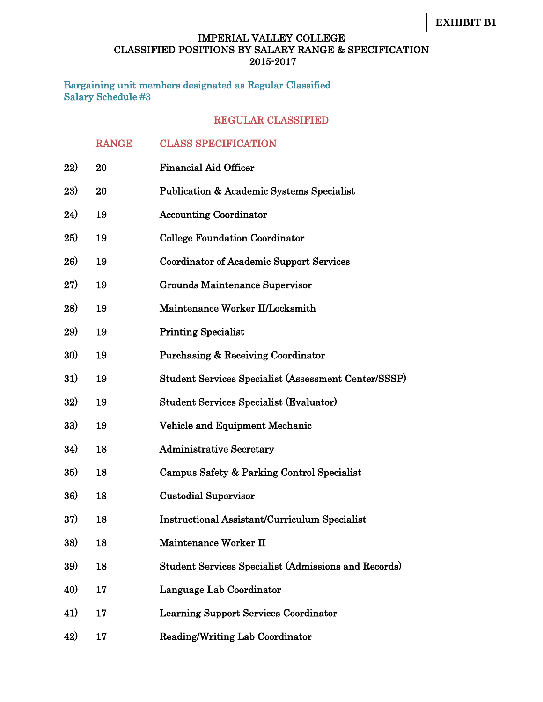Bargaining unit members designated as Regular Classified Salary Schedule #3

|     | <b>RANGE</b> | <b>CLASS SPECIFICATION</b>                                  |
|-----|--------------|-------------------------------------------------------------|
| 22) | 20           | <b>Financial Aid Officer</b>                                |
| 23) | 20           | <b>Publication &amp; Academic Systems Specialist</b>        |
| 24) | 19           | <b>Accounting Coordinator</b>                               |
| 25) | 19           | <b>College Foundation Coordinator</b>                       |
| 26) | 19           | <b>Coordinator of Academic Support Services</b>             |
| 27) | 19           | Grounds Maintenance Supervisor                              |
| 28) | 19           | Maintenance Worker II/Locksmith                             |
| 29) | 19           | <b>Printing Specialist</b>                                  |
| 30) | 19           | <b>Purchasing &amp; Receiving Coordinator</b>               |
| 31) | 19           | Student Services Specialist (Assessment Center/SSSP)        |
| 32) | 19           | <b>Student Services Specialist (Evaluator)</b>              |
| 33) | 19           | Vehicle and Equipment Mechanic                              |
| 34) | 18           | <b>Administrative Secretary</b>                             |
| 35) | 18           | Campus Safety & Parking Control Specialist                  |
| 36) | 18           | <b>Custodial Supervisor</b>                                 |
| 37) | 18           | <b>Instructional Assistant/Curriculum Specialist</b>        |
| 38) | 18           | Maintenance Worker II                                       |
| 39) | 18           | <b>Student Services Specialist (Admissions and Records)</b> |
| 40) | 17           | Language Lab Coordinator                                    |
| 41) | 17           | <b>Learning Support Services Coordinator</b>                |
| 42) | 17           | <b>Reading/Writing Lab Coordinator</b>                      |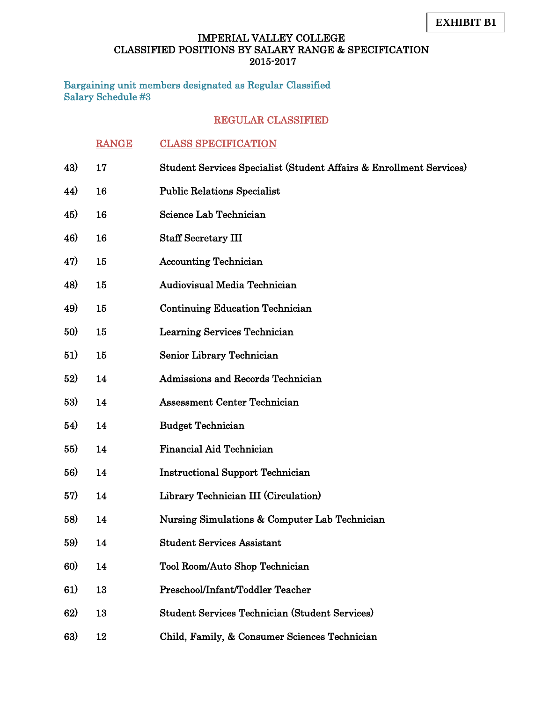Bargaining unit members designated as Regular Classified Salary Schedule #3

|     | <b>RANGE</b> | <b>CLASS SPECIFICATION</b>                                          |
|-----|--------------|---------------------------------------------------------------------|
| 43) | 17           | Student Services Specialist (Student Affairs & Enrollment Services) |
| 44) | 16           | <b>Public Relations Specialist</b>                                  |
| 45) | 16           | Science Lab Technician                                              |
| 46) | 16           | <b>Staff Secretary III</b>                                          |
| 47) | 15           | <b>Accounting Technician</b>                                        |
| 48) | 15           | Audiovisual Media Technician                                        |
| 49) | 15           | <b>Continuing Education Technician</b>                              |
| 50) | 15           | Learning Services Technician                                        |
| 51) | 15           | Senior Library Technician                                           |
| 52) | 14           | Admissions and Records Technician                                   |
| 53) | 14           | <b>Assessment Center Technician</b>                                 |
| 54) | 14           | <b>Budget Technician</b>                                            |
| 55) | 14           | <b>Financial Aid Technician</b>                                     |
| 56) | 14           | <b>Instructional Support Technician</b>                             |
| 57) | 14           | Library Technician III (Circulation)                                |
| 58) | 14           | Nursing Simulations & Computer Lab Technician                       |
| 59) | 14           | <b>Student Services Assistant</b>                                   |
| 60) | 14           | Tool Room/Auto Shop Technician                                      |
| 61) | 13           | Preschool/Infant/Toddler Teacher                                    |
| 62) | 13           | <b>Student Services Technician (Student Services)</b>               |
| 63) | 12           | Child, Family, & Consumer Sciences Technician                       |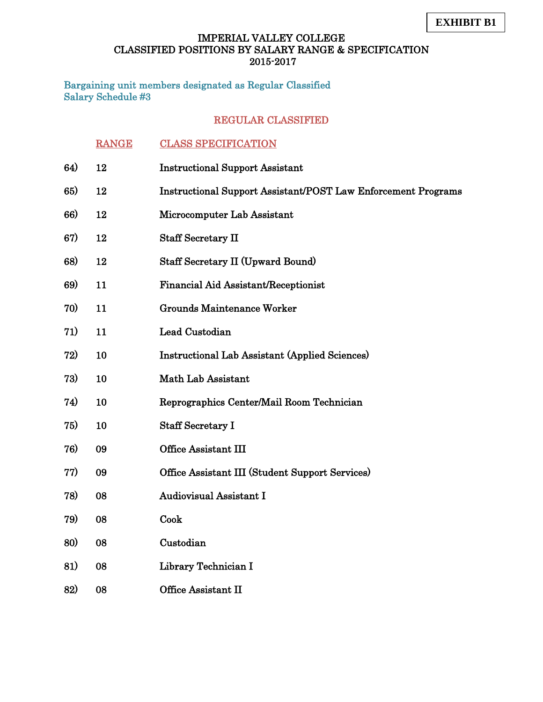Bargaining unit members designated as Regular Classified Salary Schedule #3

|     | <b>RANGE</b> | <b>CLASS SPECIFICATION</b>                                           |
|-----|--------------|----------------------------------------------------------------------|
| 64) | 12           | <b>Instructional Support Assistant</b>                               |
| 65) | 12           | <b>Instructional Support Assistant/POST Law Enforcement Programs</b> |
| 66) | 12           | Microcomputer Lab Assistant                                          |
| 67) | 12           | <b>Staff Secretary II</b>                                            |
| 68) | 12           | <b>Staff Secretary II (Upward Bound)</b>                             |
| 69) | 11           | Financial Aid Assistant/Receptionist                                 |
| 70) | 11           | <b>Grounds Maintenance Worker</b>                                    |
| 71) | 11           | Lead Custodian                                                       |
| 72) | 10           | <b>Instructional Lab Assistant (Applied Sciences)</b>                |
| 73) | 10           | Math Lab Assistant                                                   |
| 74) | 10           | Reprographics Center/Mail Room Technician                            |
| 75) | 10           | <b>Staff Secretary I</b>                                             |
| 76) | 09           | Office Assistant III                                                 |
| 77) | 09           | Office Assistant III (Student Support Services)                      |
| 78) | 08           | <b>Audiovisual Assistant I</b>                                       |
| 79) | 08           | Cook                                                                 |
| 80) | 08           | Custodian                                                            |
| 81) | 08           | Library Technician I                                                 |
| 82) | 08           | Office Assistant II                                                  |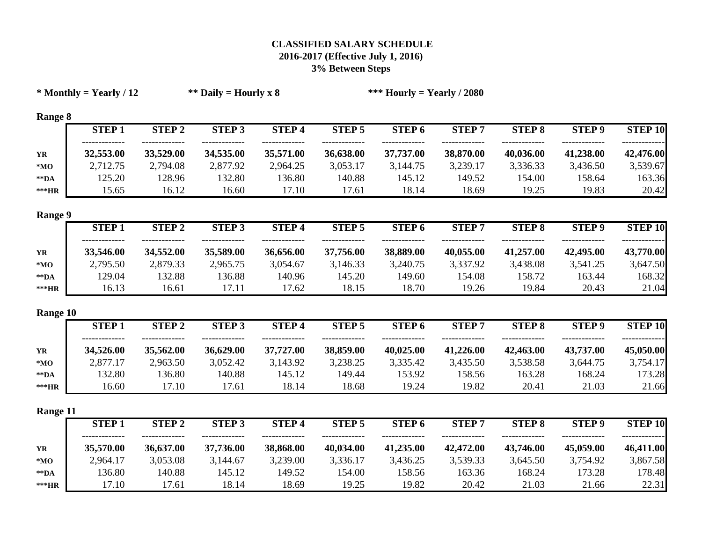|                     | $*$ Monthly = Yearly / 12 |               | ** Daily = Hourly x 8 |              |               | *** Hourly = Yearly / 2080 |              |               |               |                |
|---------------------|---------------------------|---------------|-----------------------|--------------|---------------|----------------------------|--------------|---------------|---------------|----------------|
| <b>Range 8</b>      |                           |               |                       |              |               |                            |              |               |               |                |
|                     | <b>STEP1</b>              | <b>STEP 2</b> | <b>STEP 3</b>         | <b>STEP4</b> | <b>STEP 5</b> | <b>STEP 6</b>              | <b>STEP7</b> | <b>STEP 8</b> | <b>STEP 9</b> | <b>STEP 10</b> |
| YR                  | 32,553.00                 | 33,529.00     | 34,535.00             | 35,571.00    | 36,638.00     | 37,737.00                  | 38,870.00    | 40,036.00     | 41,238.00     | 42,476.00      |
| $*MO$               | 2,712.75                  | 2,794.08      | 2,877.92              | 2,964.25     | 3,053.17      | 3,144.75                   | 3,239.17     | 3,336.33      | 3,436.50      | 3,539.67       |
| $\rm ^{\ast\ast}DA$ | 125.20                    | 128.96        | 132.80                | 136.80       | 140.88        | 145.12                     | 149.52       | 154.00        | 158.64        | 163.36         |
| $\rm **HR$          | 15.65                     | 16.12         | 16.60                 | 17.10        | 17.61         | 18.14                      | 18.69        | 19.25         | 19.83         | 20.42          |
| <b>Range 9</b>      |                           |               |                       |              |               |                            |              |               |               |                |
|                     | <b>STEP1</b>              | <b>STEP 2</b> | <b>STEP 3</b>         | <b>STEP4</b> | <b>STEP 5</b> | <b>STEP 6</b>              | <b>STEP7</b> | <b>STEP 8</b> | <b>STEP 9</b> | <b>STEP 10</b> |
| YR                  | 33,546.00                 | 34,552.00     | 35,589.00             | 36,656.00    | 37,756.00     | 38,889.00                  | 40,055.00    | 41,257.00     | 42,495.00     | 43,770.00      |
| $*MO$               | 2,795.50                  | 2,879.33      | 2,965.75              | 3,054.67     | 3,146.33      | 3,240.75                   | 3,337.92     | 3,438.08      | 3,541.25      | 3,647.50       |
| $\rm ^{\ast\ast}DA$ | 129.04                    | 132.88        | 136.88                | 140.96       | 145.20        | 149.60                     | 154.08       | 158.72        | 163.44        | 168.32         |
| $\rm **HR$          | 16.13                     | 16.61         | 17.11                 | 17.62        | 18.15         | 18.70                      | 19.26        | 19.84         | 20.43         | 21.04          |
| Range 10            |                           |               |                       |              |               |                            |              |               |               |                |
|                     | <b>STEP1</b>              | <b>STEP 2</b> | <b>STEP 3</b>         | <b>STEP4</b> | <b>STEP 5</b> | <b>STEP 6</b>              | <b>STEP7</b> | <b>STEP 8</b> | <b>STEP 9</b> | <b>STEP 10</b> |
| YR                  | 34,526.00                 | 35,562.00     | 36,629.00             | 37,727.00    | 38,859.00     | 40,025.00                  | 41,226.00    | 42,463.00     | 43,737.00     | 45,050.00      |
| $*MO$               | 2,877.17                  | 2,963.50      | 3,052.42              | 3,143.92     | 3,238.25      | 3,335.42                   | 3,435.50     | 3,538.58      | 3,644.75      | 3,754.17       |
| $\rm ^{\ast\ast}DA$ | 132.80                    | 136.80        | 140.88                | 145.12       | 149.44        | 153.92                     | 158.56       | 163.28        | 168.24        | 173.28         |
| $\rm **HR$          | 16.60                     | 17.10         | 17.61                 | 18.14        | 18.68         | 19.24                      | 19.82        | 20.41         | 21.03         | 21.66          |
| Range 11            |                           |               |                       |              |               |                            |              |               |               |                |
|                     | <b>STEP1</b>              | <b>STEP 2</b> | <b>STEP 3</b>         | <b>STEP4</b> | <b>STEP 5</b> | <b>STEP 6</b>              | <b>STEP7</b> | <b>STEP 8</b> | <b>STEP 9</b> | <b>STEP 10</b> |
| YR                  | 35,570.00                 | 36,637.00     | 37,736.00             | 38,868.00    | 40,034.00     | 41,235.00                  | 42,472.00    | 43,746.00     | 45,059.00     | 46,411.00      |
| $*_{\mathbf{MO}}$   | 2,964.17                  | 3,053.08      | 3,144.67              | 3,239.00     | 3,336.17      | 3,436.25                   | 3,539.33     | 3,645.50      | 3,754.92      | 3,867.58       |
| $\rm ^{\ast\ast}DA$ | 136.80                    | 140.88        | 145.12                | 149.52       | 154.00        | 158.56                     | 163.36       | 168.24        | 173.28        | 178.48         |
| ***HR               | 17.10                     | 17.61         | 18.14                 | 18.69        | 19.25         | 19.82                      | 20.42        | 21.03         | 21.66         | 22.31          |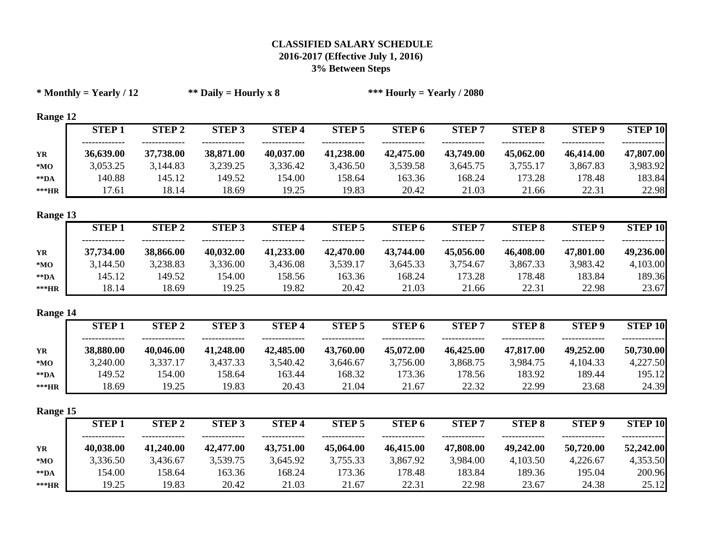|                     | $*$ Monthly = Yearly / 12 |               | ** Daily = Hourly x 8 |              |               | *** Hourly = Yearly / 2080 |              |               |               |                |
|---------------------|---------------------------|---------------|-----------------------|--------------|---------------|----------------------------|--------------|---------------|---------------|----------------|
| Range 12            |                           |               |                       |              |               |                            |              |               |               |                |
|                     | <b>STEP1</b>              | <b>STEP 2</b> | <b>STEP 3</b>         | <b>STEP4</b> | <b>STEP 5</b> | STEP <sub>6</sub>          | <b>STEP7</b> | <b>STEP 8</b> | <b>STEP 9</b> | <b>STEP 10</b> |
| YR                  | 36,639.00                 | 37,738.00     | 38,871.00             | 40,037.00    | 41,238.00     | 42,475.00                  | 43,749.00    | 45,062.00     | 46,414.00     | 47,807.00      |
| $*MO$               | 3,053.25                  | 3,144.83      | 3,239.25              | 3,336.42     | 3,436.50      | 3,539.58                   | 3,645.75     | 3,755.17      | 3,867.83      | 3,983.92       |
| $\rm ^{\ast\ast}DA$ | 140.88                    | 145.12        | 149.52                | 154.00       | 158.64        | 163.36                     | 168.24       | 173.28        | 178.48        | 183.84         |
| ***HR               | 17.61                     | 18.14         | 18.69                 | 19.25        | 19.83         | 20.42                      | 21.03        | 21.66         | 22.31         | 22.98          |
| Range 13            |                           |               |                       |              |               |                            |              |               |               |                |
|                     | <b>STEP1</b>              | <b>STEP 2</b> | <b>STEP 3</b>         | <b>STEP4</b> | <b>STEP 5</b> | <b>STEP 6</b>              | <b>STEP7</b> | <b>STEP 8</b> | <b>STEP 9</b> | <b>STEP 10</b> |
| YR                  | 37,734.00                 | 38,866.00     | 40,032.00             | 41,233.00    | 42,470.00     | 43,744.00                  | 45,056.00    | 46,408.00     | 47,801.00     | 49,236.00      |
| $*MO$               | 3,144.50                  | 3,238.83      | 3,336.00              | 3,436.08     | 3,539.17      | 3,645.33                   | 3,754.67     | 3,867.33      | 3,983.42      | 4,103.00       |
| $\rm ^{\ast\ast}DA$ | 145.12                    | 149.52        | 154.00                | 158.56       | 163.36        | 168.24                     | 173.28       | 178.48        | 183.84        | 189.36         |
| ***HR               | 18.14                     | 18.69         | 19.25                 | 19.82        | 20.42         | 21.03                      | 21.66        | 22.31         | 22.98         | 23.67          |
| Range 14            |                           |               |                       |              |               |                            |              |               |               |                |
|                     | <b>STEP1</b>              | <b>STEP 2</b> | $STEP$ <sub>3</sub>   | <b>STEP4</b> | <b>STEP 5</b> | <b>STEP 6</b>              | <b>STEP7</b> | <b>STEP 8</b> | <b>STEP 9</b> | <b>STEP 10</b> |
| YR                  | 38,880.00                 | 40,046.00     | 41,248.00             | 42,485.00    | 43,760.00     | 45,072.00                  | 46,425.00    | 47,817.00     | 49,252.00     | 50,730.00      |
| $*_{\mathbf{MO}}$   | 3,240.00                  | 3,337.17      | 3,437.33              | 3,540.42     | 3,646.67      | 3,756.00                   | 3,868.75     | 3,984.75      | 4,104.33      | 4,227.50       |
| $\rm ^{\ast\ast}DA$ | 149.52                    | 154.00        | 158.64                | 163.44       | 168.32        | 173.36                     | 178.56       | 183.92        | 189.44        | 195.12         |
| ***HR               | 18.69                     | 19.25         | 19.83                 | 20.43        | 21.04         | 21.67                      | 22.32        | 22.99         | 23.68         | 24.39          |
| Range 15            |                           |               |                       |              |               |                            |              |               |               |                |
|                     | <b>STEP1</b>              | <b>STEP 2</b> | <b>STEP 3</b>         | <b>STEP4</b> | <b>STEP 5</b> | <b>STEP 6</b>              | <b>STEP7</b> | <b>STEP 8</b> | <b>STEP 9</b> | <b>STEP 10</b> |
| YR                  | 40,038.00                 | 41,240.00     | 42,477.00             | 43,751.00    | 45,064.00     | 46,415.00                  | 47,808.00    | 49,242.00     | 50,720.00     | 52,242.00      |
| $*_{\mathbf{MO}}$   | 3,336.50                  | 3,436.67      | 3,539.75              | 3,645.92     | 3,755.33      | 3,867.92                   | 3,984.00     | 4,103.50      | 4,226.67      | 4,353.50       |
| $^{**}DA$           | 154.00                    | 158.64        | 163.36                | 168.24       | 173.36        | 178.48                     | 183.84       | 189.36        | 195.04        | 200.96         |
| ***HR               | 19.25                     | 19.83         | 20.42                 | 21.03        | 21.67         | 22.31                      | 22.98        | 23.67         | 24.38         | 25.12          |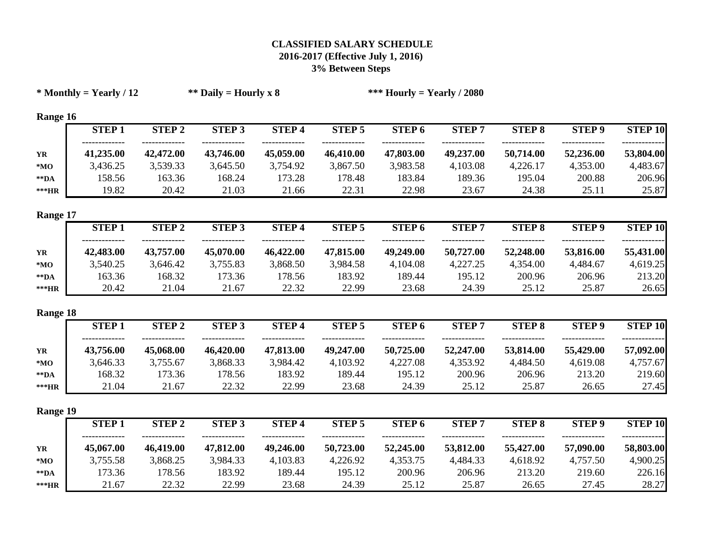| $*$ Monthly = Yearly / 12 |              |               | ** Daily = Hourly x 8 |              |               | *** Hourly = Yearly / 2080 |              |               |               |                |
|---------------------------|--------------|---------------|-----------------------|--------------|---------------|----------------------------|--------------|---------------|---------------|----------------|
| Range 16                  |              |               |                       |              |               |                            |              |               |               |                |
|                           | <b>STEP1</b> | <b>STEP 2</b> | <b>STEP 3</b>         | <b>STEP4</b> | <b>STEP 5</b> | <b>STEP 6</b>              | <b>STEP7</b> | <b>STEP 8</b> | <b>STEP 9</b> | <b>STEP 10</b> |
| YR                        | 41,235.00    | 42,472.00     | 43,746.00             | 45,059.00    | 46,410.00     | 47,803.00                  | 49,237.00    | 50,714.00     | 52,236.00     | 53,804.00      |
| ${}^{\ast} \mathbf{MO}$   | 3,436.25     | 3,539.33      | 3,645.50              | 3,754.92     | 3,867.50      | 3,983.58                   | 4,103.08     | 4,226.17      | 4,353.00      | 4,483.67       |
| $*$ $\mathbf{DA}$         | 158.56       | 163.36        | 168.24                | 173.28       | 178.48        | 183.84                     | 189.36       | 195.04        | 200.88        | 206.96         |
| $***HR$                   | 19.82        | 20.42         | 21.03                 | 21.66        | 22.31         | 22.98                      | 23.67        | 24.38         | 25.11         | 25.87          |
| Range 17                  |              |               |                       |              |               |                            |              |               |               |                |
|                           | <b>STEP1</b> | <b>STEP 2</b> | <b>STEP 3</b>         | <b>STEP4</b> | <b>STEP 5</b> | <b>STEP 6</b>              | <b>STEP7</b> | <b>STEP 8</b> | <b>STEP 9</b> | <b>STEP 10</b> |
| YR                        | 42,483.00    | 43,757.00     | 45,070.00             | 46,422.00    | 47,815.00     | 49,249.00                  | 50,727.00    | 52,248.00     | 53,816.00     | 55,431.00      |
| $*MO$                     | 3,540.25     | 3,646.42      | 3,755.83              | 3,868.50     | 3,984.58      | 4,104.08                   | 4,227.25     | 4,354.00      | 4,484.67      | 4,619.25       |
| $\bf **DA$                | 163.36       | 168.32        | 173.36                | 178.56       | 183.92        | 189.44                     | 195.12       | 200.96        | 206.96        | 213.20         |
| $\rm **HR$                | 20.42        | 21.04         | 21.67                 | 22.32        | 22.99         | 23.68                      | 24.39        | 25.12         | 25.87         | 26.65          |
| Range 18                  |              |               |                       |              |               |                            |              |               |               |                |
|                           | <b>STEP1</b> | <b>STEP 2</b> | <b>STEP 3</b>         | <b>STEP4</b> | <b>STEP 5</b> | <b>STEP 6</b>              | <b>STEP7</b> | <b>STEP 8</b> | <b>STEP 9</b> | <b>STEP 10</b> |
| YR                        | 43,756.00    | 45,068.00     | 46,420.00             | 47,813.00    | 49,247.00     | 50,725.00                  | 52,247.00    | 53,814.00     | 55,429.00     | 57,092.00      |
| $*_{\mathbf{MO}}$         | 3,646.33     | 3,755.67      | 3,868.33              | 3,984.42     | 4,103.92      | 4,227.08                   | 4,353.92     | 4,484.50      | 4,619.08      | 4,757.67       |
| $*$ $\mathbf{DA}$         | 168.32       | 173.36        | 178.56                | 183.92       | 189.44        | 195.12                     | 200.96       | 206.96        | 213.20        | 219.60         |
| $***HR$                   | 21.04        | 21.67         | 22.32                 | 22.99        | 23.68         | 24.39                      | 25.12        | 25.87         | 26.65         | 27.45          |
| Range 19                  |              |               |                       |              |               |                            |              |               |               |                |
|                           | <b>STEP1</b> | <b>STEP 2</b> | <b>STEP 3</b>         | <b>STEP4</b> | <b>STEP 5</b> | STEP <sub>6</sub>          | <b>STEP7</b> | <b>STEP 8</b> | <b>STEP 9</b> | <b>STEP 10</b> |
| YR                        | 45,067.00    | 46,419.00     | 47,812.00             | 49,246.00    | 50,723.00     | 52,245.00                  | 53,812.00    | 55,427.00     | 57,090.00     | 58,803.00      |
| ${}^{\ast} \mathbf{MO}$   | 3,755.58     | 3,868.25      | 3,984.33              | 4,103.83     | 4,226.92      | 4,353.75                   | 4,484.33     | 4,618.92      | 4,757.50      | 4,900.25       |
| $\rm ^{\ast\ast}DA$       | 173.36       | 178.56        | 183.92                | 189.44       | 195.12        | 200.96                     | 206.96       | 213.20        | 219.60        | 226.16         |
| ***HR                     | 21.67        | 22.32         | 22.99                 | 23.68        | 24.39         | 25.12                      | 25.87        | 26.65         | 27.45         | 28.27          |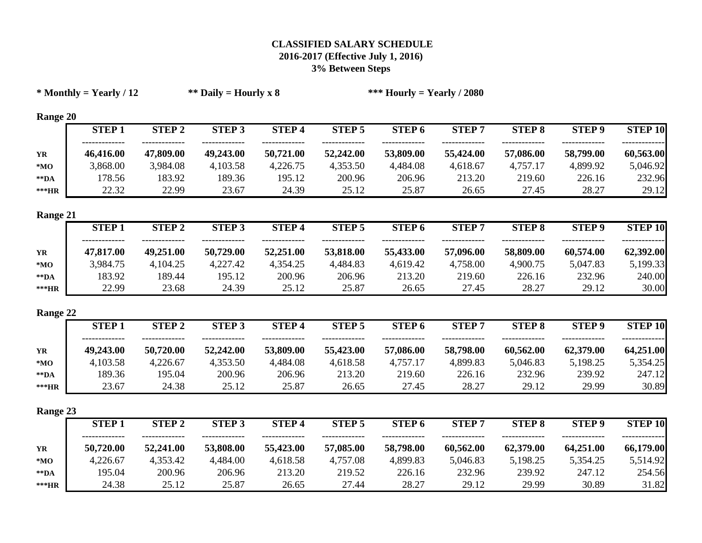|                         | $*$ Monthly = Yearly / 12 |               | ** Daily = Hourly x 8 |              |               | *** Hourly = Yearly / 2080 |              |               |               |                |
|-------------------------|---------------------------|---------------|-----------------------|--------------|---------------|----------------------------|--------------|---------------|---------------|----------------|
| Range 20                |                           |               |                       |              |               |                            |              |               |               |                |
|                         | <b>STEP1</b>              | <b>STEP 2</b> | <b>STEP 3</b>         | <b>STEP4</b> | <b>STEP 5</b> | STEP <sub>6</sub>          | <b>STEP7</b> | <b>STEP 8</b> | <b>STEP 9</b> | <b>STEP 10</b> |
| YR                      | 46,416.00                 | 47,809.00     | 49,243.00             | 50,721.00    | 52,242.00     | 53,809.00                  | 55,424.00    | 57,086.00     | 58,799.00     | 60,563.00      |
| $*MO$                   | 3,868.00                  | 3,984.08      | 4,103.58              | 4,226.75     | 4,353.50      | 4,484.08                   | 4,618.67     | 4,757.17      | 4,899.92      | 5,046.92       |
| $\rm ^{\ast\ast}DA$     | 178.56                    | 183.92        | 189.36                | 195.12       | 200.96        | 206.96                     | 213.20       | 219.60        | 226.16        | 232.96         |
| ***HR                   | 22.32                     | 22.99         | 23.67                 | 24.39        | 25.12         | 25.87                      | 26.65        | 27.45         | 28.27         | 29.12          |
| Range 21                |                           |               |                       |              |               |                            |              |               |               |                |
|                         | <b>STEP1</b>              | <b>STEP 2</b> | <b>STEP 3</b>         | <b>STEP4</b> | <b>STEP 5</b> | <b>STEP 6</b>              | <b>STEP7</b> | <b>STEP 8</b> | <b>STEP 9</b> | <b>STEP 10</b> |
| YR                      | 47,817.00                 | 49,251.00     | 50,729.00             | 52,251.00    | 53,818.00     | 55,433.00                  | 57,096.00    | 58,809.00     | 60,574.00     | 62,392.00      |
| $*_{\mathbf{MO}}$       | 3,984.75                  | 4,104.25      | 4,227.42              | 4,354.25     | 4,484.83      | 4,619.42                   | 4,758.00     | 4,900.75      | 5,047.83      | 5,199.33       |
| $\rm ^{\ast\ast}DA$     | 183.92                    | 189.44        | 195.12                | 200.96       | 206.96        | 213.20                     | 219.60       | 226.16        | 232.96        | 240.00         |
| ***HR                   | 22.99                     | 23.68         | 24.39                 | 25.12        | 25.87         | 26.65                      | 27.45        | 28.27         | 29.12         | 30.00          |
| Range 22                |                           |               |                       |              |               |                            |              |               |               |                |
|                         | <b>STEP1</b>              | <b>STEP 2</b> | <b>STEP 3</b>         | <b>STEP4</b> | <b>STEP 5</b> | STEP <sub>6</sub>          | <b>STEP7</b> | <b>STEP 8</b> | <b>STEP 9</b> | <b>STEP 10</b> |
| YR                      | 49,243.00                 | 50,720.00     | 52,242.00             | 53,809.00    | 55,423.00     | 57,086.00                  | 58,798.00    | 60,562.00     | 62,379.00     | 64,251.00      |
| $*_{\mathbf{MO}}$       | 4,103.58                  | 4,226.67      | 4,353.50              | 4,484.08     | 4,618.58      | 4,757.17                   | 4,899.83     | 5,046.83      | 5,198.25      | 5,354.25       |
| $\rm ^{\ast\ast}DA$     | 189.36                    | 195.04        | 200.96                | 206.96       | 213.20        | 219.60                     | 226.16       | 232.96        | 239.92        | 247.12         |
| ***HR                   | 23.67                     | 24.38         | 25.12                 | 25.87        | 26.65         | 27.45                      | 28.27        | 29.12         | 29.99         | 30.89          |
| Range 23                |                           |               |                       |              |               |                            |              |               |               |                |
|                         | <b>STEP1</b>              | <b>STEP 2</b> | <b>STEP 3</b>         | <b>STEP4</b> | <b>STEP 5</b> | STEP <sub>6</sub>          | <b>STEP7</b> | <b>STEP 8</b> | <b>STEP 9</b> | <b>STEP 10</b> |
| YR                      | 50,720.00                 | 52,241.00     | 53,808.00             | 55,423.00    | 57,085.00     | 58,798.00                  | 60,562.00    | 62,379.00     | 64,251.00     | 66,179.00      |
| ${}^{\ast} \mathbf{MO}$ | 4,226.67                  | 4,353.42      | 4,484.00              | 4,618.58     | 4,757.08      | 4,899.83                   | 5,046.83     | 5,198.25      | 5,354.25      | 5,514.92       |
| $\rm ^{\ast\ast}DA$     | 195.04                    | 200.96        | 206.96                | 213.20       | 219.52        | 226.16                     | 232.96       | 239.92        | 247.12        | 254.56         |
| ***HR                   | 24.38                     | 25.12         | 25.87                 | 26.65        | 27.44         | 28.27                      | 29.12        | 29.99         | 30.89         | 31.82          |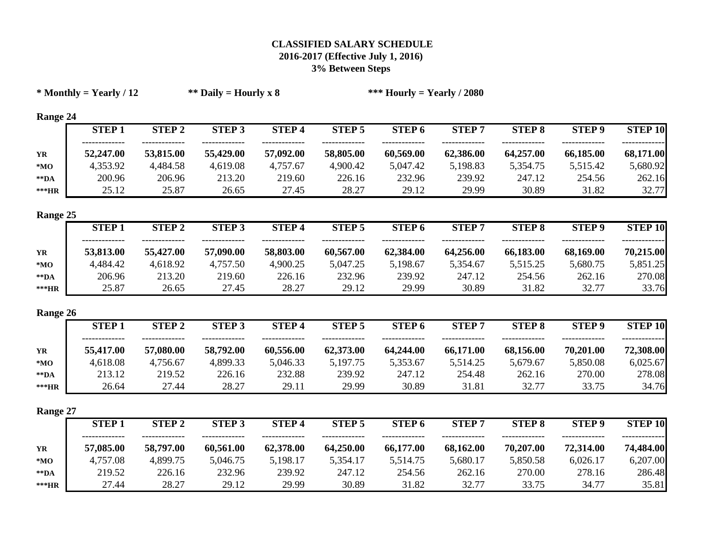|                     | $*$ Monthly = Yearly / 12 |               | ** Daily = Hourly x 8 |              |               | *** Hourly = Yearly / 2080 |              |               |               |                |
|---------------------|---------------------------|---------------|-----------------------|--------------|---------------|----------------------------|--------------|---------------|---------------|----------------|
| Range 24            |                           |               |                       |              |               |                            |              |               |               |                |
|                     | <b>STEP1</b>              | <b>STEP 2</b> | <b>STEP 3</b>         | <b>STEP4</b> | <b>STEP 5</b> | <b>STEP 6</b>              | <b>STEP7</b> | <b>STEP 8</b> | <b>STEP 9</b> | <b>STEP 10</b> |
| YR                  | 52,247.00                 | 53,815.00     | 55,429.00             | 57,092.00    | 58,805.00     | 60,569.00                  | 62,386.00    | 64,257.00     | 66,185.00     | 68,171.00      |
| $*_{\mathbf{MO}}$   | 4,353.92                  | 4,484.58      | 4,619.08              | 4,757.67     | 4,900.42      | 5,047.42                   | 5,198.83     | 5,354.75      | 5,515.42      | 5,680.92       |
| $\rm ^{\ast\ast}DA$ | 200.96                    | 206.96        | 213.20                | 219.60       | 226.16        | 232.96                     | 239.92       | 247.12        | 254.56        | 262.16         |
| ***HR               | 25.12                     | 25.87         | 26.65                 | 27.45        | 28.27         | 29.12                      | 29.99        | 30.89         | 31.82         | 32.77          |
| Range 25            |                           |               |                       |              |               |                            |              |               |               |                |
|                     | <b>STEP1</b>              | <b>STEP 2</b> | <b>STEP 3</b>         | <b>STEP4</b> | <b>STEP 5</b> | <b>STEP 6</b>              | <b>STEP7</b> | <b>STEP 8</b> | <b>STEP 9</b> | <b>STEP 10</b> |
| YR                  | 53,813.00                 | 55,427.00     | 57,090.00             | 58,803.00    | 60,567.00     | 62,384.00                  | 64,256.00    | 66,183.00     | 68,169.00     | 70,215.00      |
| $*_{\mathbf{MO}}$   | 4,484.42                  | 4,618.92      | 4,757.50              | 4,900.25     | 5,047.25      | 5,198.67                   | 5,354.67     | 5,515.25      | 5,680.75      | 5,851.25       |
| $*$ $\mathbf{DA}$   | 206.96                    | 213.20        | 219.60                | 226.16       | 232.96        | 239.92                     | 247.12       | 254.56        | 262.16        | 270.08         |
| $***HR$             | 25.87                     | 26.65         | 27.45                 | 28.27        | 29.12         | 29.99                      | 30.89        | 31.82         | 32.77         | 33.76          |
| Range 26            |                           |               |                       |              |               |                            |              |               |               |                |
|                     | <b>STEP1</b>              | <b>STEP 2</b> | <b>STEP 3</b>         | <b>STEP4</b> | <b>STEP 5</b> | <b>STEP 6</b>              | <b>STEP7</b> | <b>STEP 8</b> | <b>STEP 9</b> | <b>STEP 10</b> |
| YR                  | 55,417.00                 | 57,080.00     | 58,792.00             | 60,556.00    | 62,373.00     | 64,244.00                  | 66,171.00    | 68,156.00     | 70,201.00     | 72,308.00      |
| $*_{\mathbf{MO}}$   | 4,618.08                  | 4,756.67      | 4,899.33              | 5,046.33     | 5,197.75      | 5,353.67                   | 5,514.25     | 5,679.67      | 5,850.08      | 6,025.67       |
| $\rm ^{\ast\ast}DA$ | 213.12                    | 219.52        | 226.16                | 232.88       | 239.92        | 247.12                     | 254.48       | 262.16        | 270.00        | 278.08         |
| ***HR               | 26.64                     | 27.44         | 28.27                 | 29.11        | 29.99         | 30.89                      | 31.81        | 32.77         | 33.75         | 34.76          |
| Range 27            |                           |               |                       |              |               |                            |              |               |               |                |
|                     | <b>STEP1</b>              | <b>STEP 2</b> | <b>STEP 3</b>         | <b>STEP4</b> | <b>STEP 5</b> | <b>STEP 6</b>              | <b>STEP7</b> | <b>STEP 8</b> | <b>STEP 9</b> | <b>STEP 10</b> |
| YR                  | 57,085.00                 | 58,797.00     | 60,561.00             | 62,378.00    | 64,250.00     | 66,177.00                  | 68,162.00    | 70,207.00     | 72,314.00     | 74,484.00      |
| $*_{\mathbf{MO}}$   | 4,757.08                  | 4,899.75      | 5,046.75              | 5,198.17     | 5,354.17      | 5,514.75                   | 5,680.17     | 5,850.58      | 6,026.17      | 6,207.00       |
| $\rm ^{\ast\ast}DA$ | 219.52                    | 226.16        | 232.96                | 239.92       | 247.12        | 254.56                     | 262.16       | 270.00        | 278.16        | 286.48         |
| ***HR               | 27.44                     | 28.27         | 29.12                 | 29.99        | 30.89         | 31.82                      | 32.77        | 33.75         | 34.77         | 35.81          |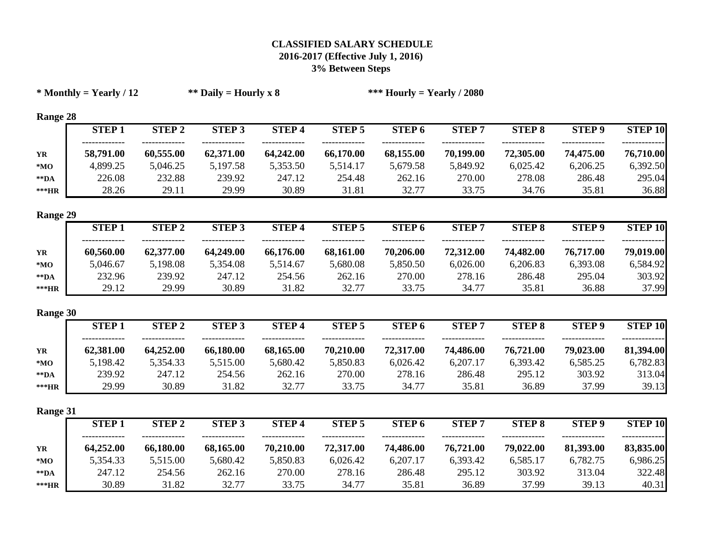|                         | $*$ Monthly = Yearly / 12 |               | ** Daily = Hourly x 8 |              |               | *** Hourly = Yearly / 2080 |              |               |               |                |
|-------------------------|---------------------------|---------------|-----------------------|--------------|---------------|----------------------------|--------------|---------------|---------------|----------------|
| Range 28                |                           |               |                       |              |               |                            |              |               |               |                |
|                         | <b>STEP1</b>              | <b>STEP 2</b> | <b>STEP 3</b>         | <b>STEP4</b> | <b>STEP 5</b> | <b>STEP 6</b>              | <b>STEP7</b> | <b>STEP 8</b> | <b>STEP 9</b> | <b>STEP 10</b> |
| YR                      | 58,791.00                 | 60,555.00     | 62,371.00             | 64,242.00    | 66,170.00     | 68,155.00                  | 70,199.00    | 72,305.00     | 74,475.00     | 76,710.00      |
| $*MO$                   | 4,899.25                  | 5,046.25      | 5,197.58              | 5,353.50     | 5,514.17      | 5,679.58                   | 5,849.92     | 6,025.42      | 6,206.25      | 6,392.50       |
| $*$ $\mathbf{DA}$       | 226.08                    | 232.88        | 239.92                | 247.12       | 254.48        | 262.16                     | 270.00       | 278.08        | 286.48        | 295.04         |
| $\rm **HR$              | 28.26                     | 29.11         | 29.99                 | 30.89        | 31.81         | 32.77                      | 33.75        | 34.76         | 35.81         | 36.88          |
| Range 29                |                           |               |                       |              |               |                            |              |               |               |                |
|                         | <b>STEP1</b>              | <b>STEP 2</b> | <b>STEP 3</b>         | <b>STEP4</b> | <b>STEP 5</b> | <b>STEP 6</b>              | <b>STEP7</b> | <b>STEP 8</b> | <b>STEP 9</b> | <b>STEP 10</b> |
| YR                      | 60,560.00                 | 62,377.00     | 64,249.00             | 66,176.00    | 68,161.00     | 70,206.00                  | 72,312.00    | 74,482.00     | 76,717.00     | 79,019.00      |
| $*MO$                   | 5,046.67                  | 5,198.08      | 5,354.08              | 5,514.67     | 5,680.08      | 5,850.50                   | 6,026.00     | 6,206.83      | 6,393.08      | 6,584.92       |
| $*$ $\mathbf{DA}$       | 232.96                    | 239.92        | 247.12                | 254.56       | 262.16        | 270.00                     | 278.16       | 286.48        | 295.04        | 303.92         |
| $\rm **HR$              | 29.12                     | 29.99         | 30.89                 | 31.82        | 32.77         | 33.75                      | 34.77        | 35.81         | 36.88         | 37.99          |
| Range 30                |                           |               |                       |              |               |                            |              |               |               |                |
|                         | <b>STEP1</b>              | <b>STEP 2</b> | <b>STEP 3</b>         | <b>STEP4</b> | <b>STEP 5</b> | <b>STEP 6</b>              | <b>STEP7</b> | <b>STEP 8</b> | <b>STEP 9</b> | <b>STEP 10</b> |
| YR                      | 62,381.00                 | 64,252.00     | 66,180.00             | 68,165.00    | 70,210.00     | 72,317.00                  | 74,486.00    | 76,721.00     | 79,023.00     | 81,394.00      |
| ${}^{\ast} \mathbf{MO}$ | 5,198.42                  | 5,354.33      | 5,515.00              | 5,680.42     | 5,850.83      | 6,026.42                   | 6,207.17     | 6,393.42      | 6,585.25      | 6,782.83       |
| $\rm ^{\ast\ast}DA$     | 239.92                    | 247.12        | 254.56                | 262.16       | 270.00        | 278.16                     | 286.48       | 295.12        | 303.92        | 313.04         |
| ***HR                   | 29.99                     | 30.89         | 31.82                 | 32.77        | 33.75         | 34.77                      | 35.81        | 36.89         | 37.99         | 39.13          |
| Range 31                |                           |               |                       |              |               |                            |              |               |               |                |
|                         | <b>STEP1</b>              | <b>STEP 2</b> | <b>STEP 3</b>         | <b>STEP4</b> | <b>STEP 5</b> | <b>STEP 6</b>              | <b>STEP7</b> | <b>STEP 8</b> | <b>STEP 9</b> | <b>STEP 10</b> |
| YR                      | 64,252.00                 | 66,180.00     | 68,165.00             | 70,210.00    | 72,317.00     | 74,486.00                  | 76,721.00    | 79,022.00     | 81,393.00     | 83,835.00      |
| $*_{\mathbf{MO}}$       | 5,354.33                  | 5,515.00      | 5,680.42              | 5,850.83     | 6,026.42      | 6,207.17                   | 6,393.42     | 6,585.17      | 6,782.75      | 6,986.25       |
| $\rm ^{\ast\ast}DA$     | 247.12                    | 254.56        | 262.16                | 270.00       | 278.16        | 286.48                     | 295.12       | 303.92        | 313.04        | 322.48         |
| ***HR                   | 30.89                     | 31.82         | 32.77                 | 33.75        | 34.77         | 35.81                      | 36.89        | 37.99         | 39.13         | 40.31          |